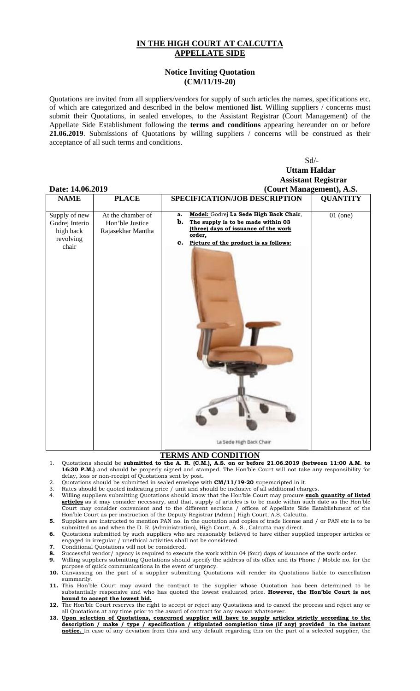## **IN THE HIGH COURT AT CALCUTTA APPELLATE SIDE**

## **Notice Inviting Quotation (CM/11/19-20)**

Quotations are invited from all suppliers/vendors for supply of such articles the names, specifications etc. of which are categorized and described in the below mentioned **list**. Willing suppliers / concerns must submit their Quotations, in sealed envelopes, to the Assistant Registrar (Court Management) of the Appellate Side Establishment following the **terms and conditions** appearing hereunder on or before **21.06.2019**. Submissions of Quotations by willing suppliers / concerns will be construed as their acceptance of all such terms and conditions.

Sd/-

|                                                                    |                                                           | <b>Uttam Haldar</b>                                                                                                                                                                                                  |                 |
|--------------------------------------------------------------------|-----------------------------------------------------------|----------------------------------------------------------------------------------------------------------------------------------------------------------------------------------------------------------------------|-----------------|
|                                                                    |                                                           | <b>Assistant Registrar</b>                                                                                                                                                                                           |                 |
| Date: 14.06.2019                                                   |                                                           | (Court Management), A.S.                                                                                                                                                                                             |                 |
| <b>NAME</b>                                                        | <b>PLACE</b>                                              | SPECIFICATION/JOB DESCRIPTION                                                                                                                                                                                        | <b>QUANTITY</b> |
| Supply of new<br>Godrej Interio<br>high back<br>revolving<br>chair | At the chamber of<br>Hon'ble Justice<br>Rajasekhar Mantha | Model: Godrej La Sede High Back Chair,<br>a.<br>b.<br>The supply is to be made within 03<br>(three) days of issuance of the work<br>order,<br>Picture of the product is as follows:<br>c.<br>La Sede High Back Chair | $01$ (one)      |
|                                                                    |                                                           |                                                                                                                                                                                                                      |                 |

## **TERMS AND CONDITION**

- 1. Quotations should be **submitted to the A. R. (C.M.), A.S. on or before 21.06.2019 (between 11:00 A.M. to 16:30 P.M.)** and should be properly signed and stamped. The Hon'ble Court will not take any responsibility for delay, loss or non-receipt of Quotations sent by post.
- 2. Quotations should be submitted in sealed envelope with **CM/11/19-20** superscripted in it.
- 3. Rates should be quoted indicating price / unit and should be inclusive of all additional charges.
- 4. Willing suppliers submitting Quotations should know that the Hon'ble Court may procure **such quantity of listed articles** as it may consider necessary, and that, supply of articles is to be made within such date as the Hon'ble Court may consider convenient and to the different sections / offices of Appellate Side Establishment of the Hon'ble Court as per instruction of the Deputy Registrar (Admn.) High Court, A.S. Calcutta.
- **5.** Suppliers are instructed to mention PAN no. in the quotation and copies of trade license and / or PAN etc is to be submitted as and when the D. R. (Administration), High Court, A. S., Calcutta may direct.
- **6.** Quotations submitted by such suppliers who are reasonably believed to have either supplied improper articles or engaged in irregular / unethical activities shall not be considered.
- **7.** Conditional Quotations will not be considered.
- **8.** Successful vendor/ agency is required to execute the work within 04 (four) days of issuance of the work order.
- **9.** Willing suppliers submitting Quotations should specify the address of its office and its Phone / Mobile no. for the purpose of quick communications in the event of urgency.
- **10.** Canvassing on the part of a supplier submitting Quotations will render its Quotations liable to cancellation summarily.
- **11.** This Hon'ble Court may award the contract to the supplier whose Quotation has been determined to be substantially responsive and who has quoted the lowest evaluated price. However, the Hon'ble Court is not **bound to accept the lowest bid.**
- **12.** The Hon'ble Court reserves the right to accept or reject any Quotations and to cancel the process and reject any or all Quotations at any time prior to the award of contract for any reason whatsoever.
- **13. Upon selection of Quotations, concerned supplier will have to supply articles strictly according to the description / make / type / specification / stipulated completion time (if any) provided in the instant notice.** In case of any deviation from this and any default regarding this on the part of a selected supplier, the